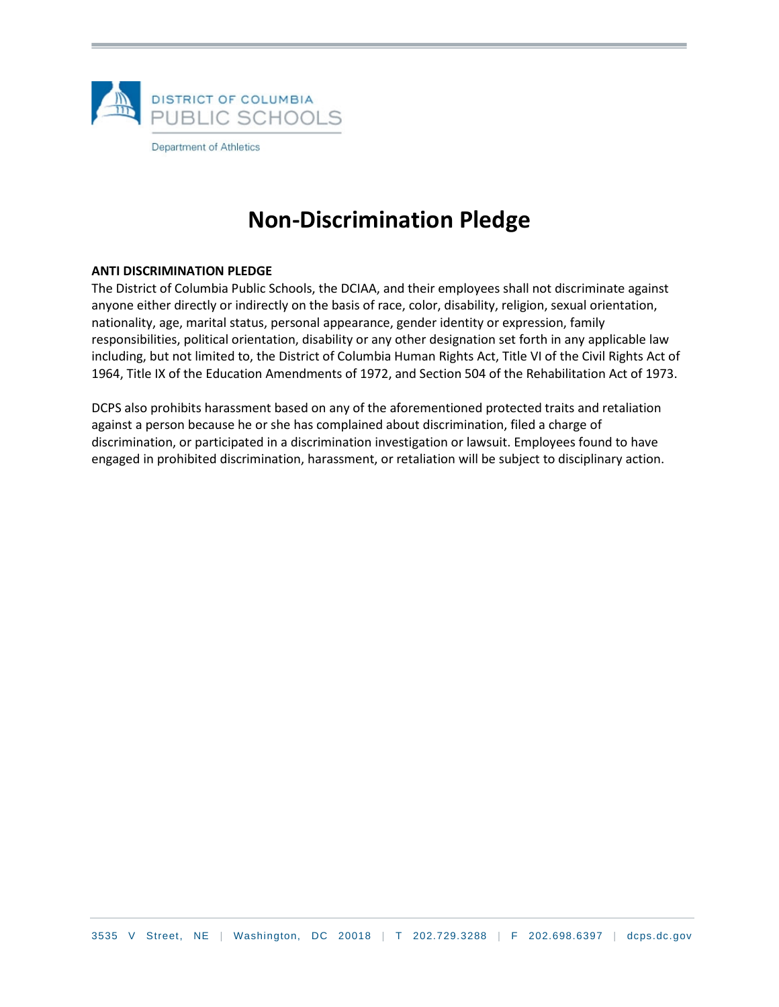

## **Non-Discrimination Pledge**

## **ANTI DISCRIMINATION PLEDGE**

The District of Columbia Public Schools, the DCIAA, and their employees shall not discriminate against anyone either directly or indirectly on the basis of race, color, disability, religion, sexual orientation, nationality, age, marital status, personal appearance, gender identity or expression, family responsibilities, political orientation, disability or any other designation set forth in any applicable law including, but not limited to, the District of Columbia Human Rights Act, Title VI of the Civil Rights Act of 1964, Title IX of the Education Amendments of 1972, and Section 504 of the Rehabilitation Act of 1973.

DCPS also prohibits harassment based on any of the aforementioned protected traits and retaliation against a person because he or she has complained about discrimination, filed a charge of discrimination, or participated in a discrimination investigation or lawsuit. Employees found to have engaged in prohibited discrimination, harassment, or retaliation will be subject to disciplinary action.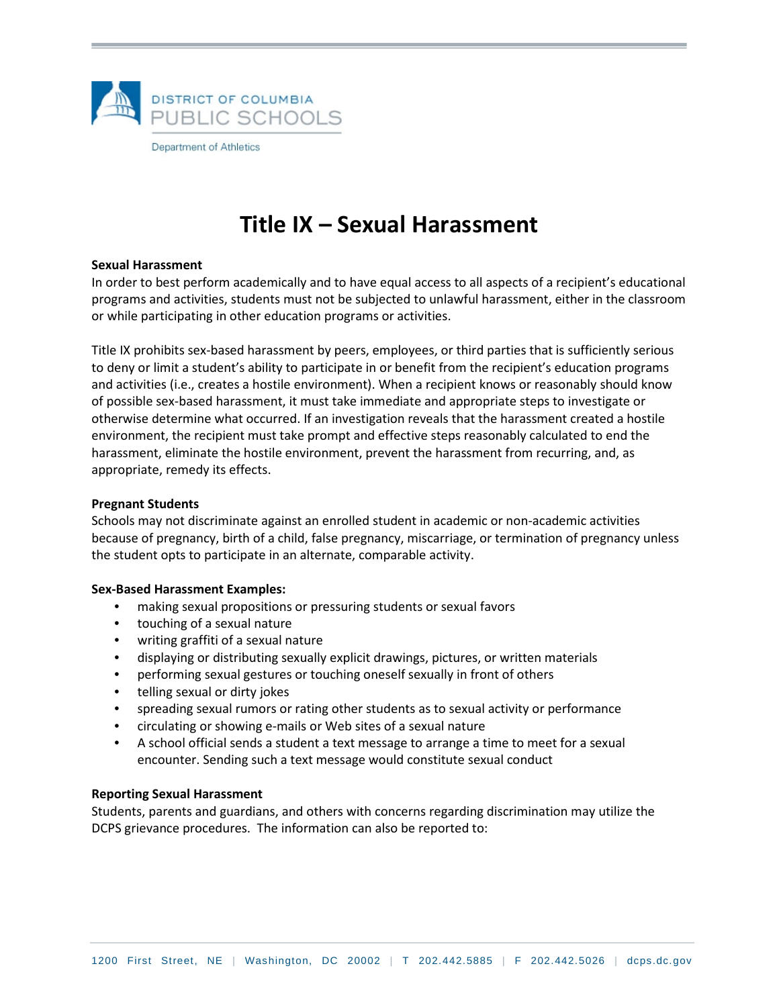

## **Title IX – Sexual Harassment**

#### **Sexual Harassment**

In order to best perform academically and to have equal access to all aspects of a recipient's educational programs and activities, students must not be subjected to unlawful harassment, either in the classroom or while participating in other education programs or activities.

Title IX prohibits sex-based harassment by peers, employees, or third parties that is sufficiently serious to deny or limit a student's ability to participate in or benefit from the recipient's education programs and activities (i.e., creates a hostile environment). When a recipient knows or reasonably should know of possible sex-based harassment, it must take immediate and appropriate steps to investigate or otherwise determine what occurred. If an investigation reveals that the harassment created a hostile environment, the recipient must take prompt and effective steps reasonably calculated to end the harassment, eliminate the hostile environment, prevent the harassment from recurring, and, as appropriate, remedy its effects.

#### **Pregnant Students**

Schools may not discriminate against an enrolled student in academic or non-academic activities because of pregnancy, birth of a child, false pregnancy, miscarriage, or termination of pregnancy unless the student opts to participate in an alternate, comparable activity.

#### **Sex-Based Harassment Examples:**

- making sexual propositions or pressuring students or sexual favors
- touching of a sexual nature
- writing graffiti of a sexual nature
- displaying or distributing sexually explicit drawings, pictures, or written materials
- performing sexual gestures or touching oneself sexually in front of others
- telling sexual or dirty jokes
- spreading sexual rumors or rating other students as to sexual activity or performance
- circulating or showing e-mails or Web sites of a sexual nature
- A school official sends a student a text message to arrange a time to meet for a sexual encounter. Sending such a text message would constitute sexual conduct

#### **Reporting Sexual Harassment**

Students, parents and guardians, and others with concerns regarding discrimination may utilize the DCPS grievance procedures. The information can also be reported to: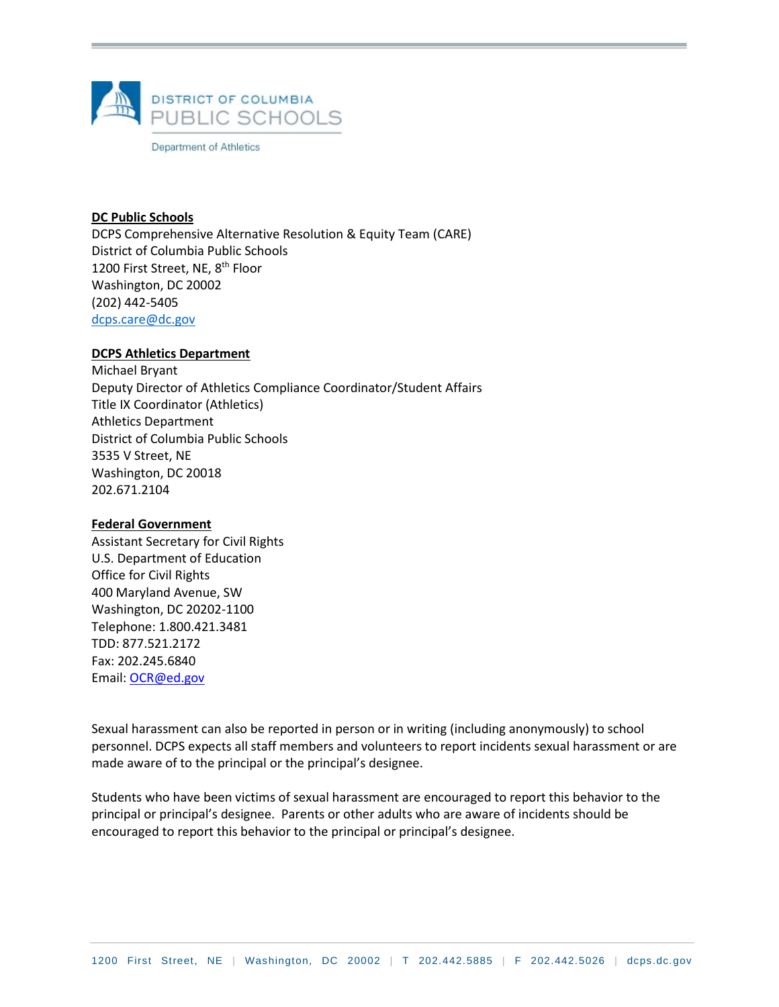

## **DC Public Schools**

DCPS Comprehensive Alternative Resolution & Equity Team (CARE) District of Columbia Public Schools 1200 First Street, NE, 8<sup>th</sup> Floor Washington, DC 20002 (202) 442-5405 [dcps.care@dc.gov](mailto:dcps.care@dc.gov)

#### **DCPS Athletics Department**

Michael Bryant Deputy Director of Athletics Compliance Coordinator/Student Affairs Title IX Coordinator (Athletics) Athletics Department District of Columbia Public Schools 3535 V Street, NE Washington, DC 20018 202.671.2104

#### **Federal Government**

Assistant Secretary for Civil Rights U.S. Department of Education Office for Civil Rights 400 Maryland Avenue, SW Washington, DC 20202-1100 Telephone: 1.800.421.3481 TDD: 877.521.2172 Fax: 202.245.6840 Email: [OCR@ed.gov](mailto:OCR@ed.gov)

Sexual harassment can also be reported in person or in writing (including anonymously) to school personnel. DCPS expects all staff members and volunteers to report incidents sexual harassment or are made aware of to the principal or the principal's designee.

Students who have been victims of sexual harassment are encouraged to report this behavior to the principal or principal's designee. Parents or other adults who are aware of incidents should be encouraged to report this behavior to the principal or principal's designee.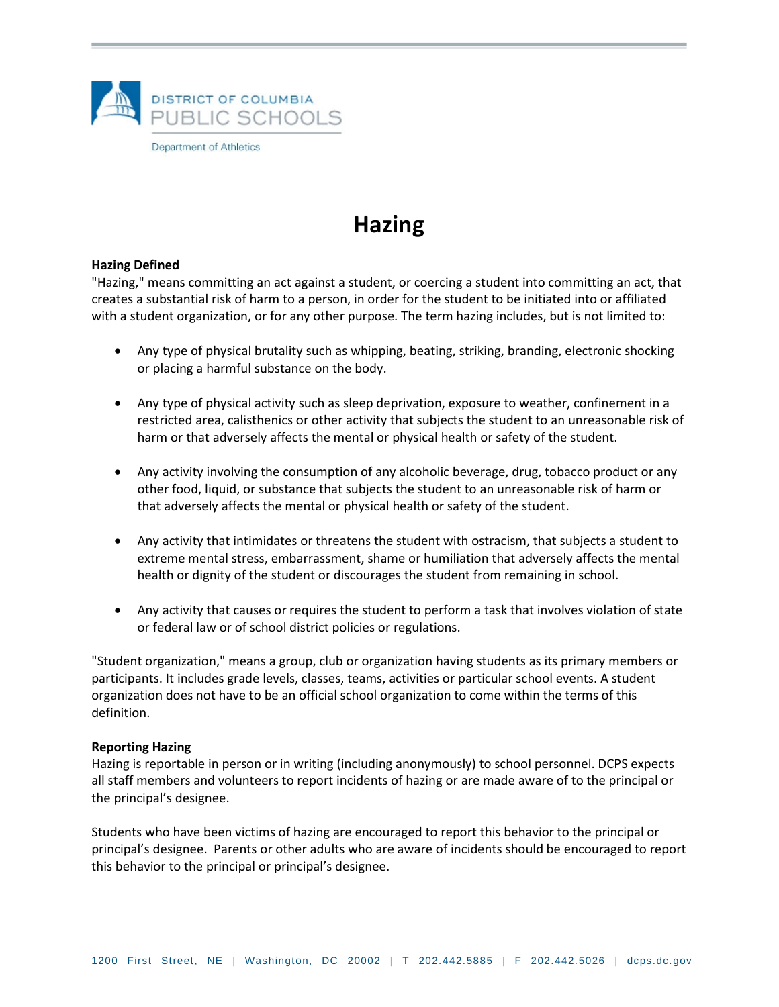

# **Hazing**

## **Hazing Defined**

"Hazing," means committing an act against a student, or coercing a student into committing an act, that creates a substantial risk of harm to a person, in order for the student to be initiated into or affiliated with a student organization, or for any other purpose. The term hazing includes, but is not limited to:

- Any type of physical brutality such as whipping, beating, striking, branding, electronic shocking or placing a harmful substance on the body.
- Any type of physical activity such as sleep deprivation, exposure to weather, confinement in a restricted area, calisthenics or other activity that subjects the student to an unreasonable risk of harm or that adversely affects the mental or physical health or safety of the student.
- Any activity involving the consumption of any alcoholic beverage, drug, tobacco product or any other food, liquid, or substance that subjects the student to an unreasonable risk of harm or that adversely affects the mental or physical health or safety of the student.
- Any activity that intimidates or threatens the student with ostracism, that subjects a student to extreme mental stress, embarrassment, shame or humiliation that adversely affects the mental health or dignity of the student or discourages the student from remaining in school.
- Any activity that causes or requires the student to perform a task that involves violation of state or federal law or of school district policies or regulations.

"Student organization," means a group, club or organization having students as its primary members or participants. It includes grade levels, classes, teams, activities or particular school events. A student organization does not have to be an official school organization to come within the terms of this definition.

#### **Reporting Hazing**

Hazing is reportable in person or in writing (including anonymously) to school personnel. DCPS expects all staff members and volunteers to report incidents of hazing or are made aware of to the principal or the principal's designee.

Students who have been victims of hazing are encouraged to report this behavior to the principal or principal's designee. Parents or other adults who are aware of incidents should be encouraged to report this behavior to the principal or principal's designee.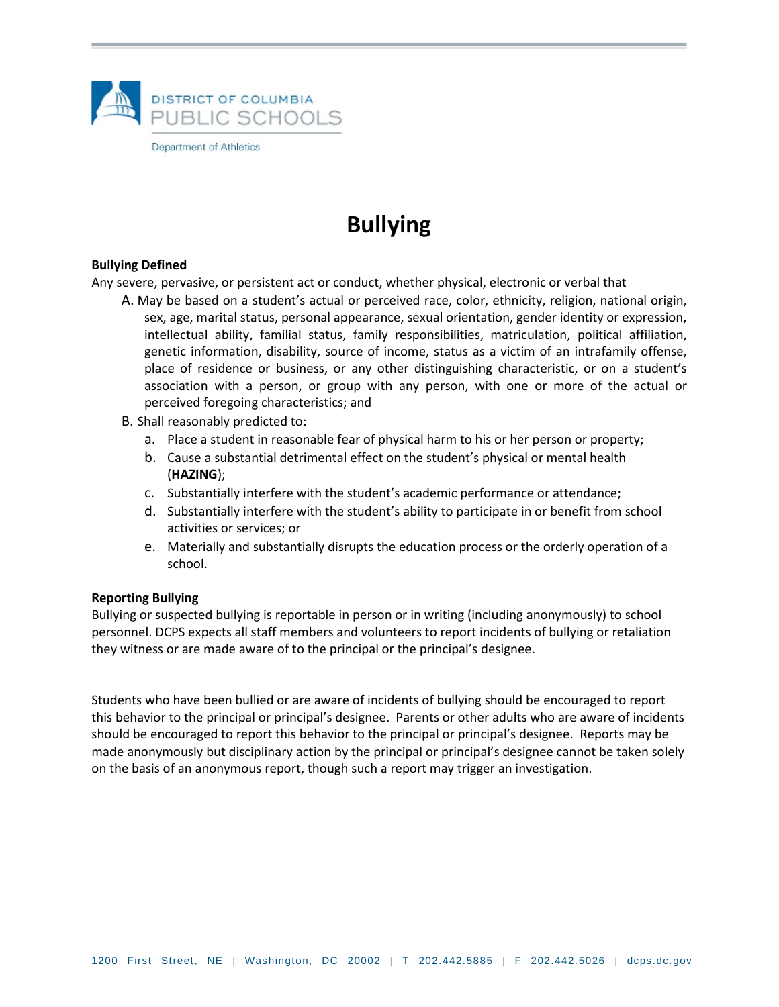

# **Bullying**

## **Bullying Defined**

Any severe, pervasive, or persistent act or conduct, whether physical, electronic or verbal that

- A. May be based on a student's actual or perceived race, color, ethnicity, religion, national origin, sex, age, marital status, personal appearance, sexual orientation, gender identity or expression, intellectual ability, familial status, family responsibilities, matriculation, political affiliation, genetic information, disability, source of income, status as a victim of an intrafamily offense, place of residence or business, or any other distinguishing characteristic, or on a student's association with a person, or group with any person, with one or more of the actual or perceived foregoing characteristics; and
- B. Shall reasonably predicted to:
	- a. Place a student in reasonable fear of physical harm to his or her person or property;
	- b. Cause a substantial detrimental effect on the student's physical or mental health (**HAZING**);
	- c. Substantially interfere with the student's academic performance or attendance;
	- d. Substantially interfere with the student's ability to participate in or benefit from school activities or services; or
	- e. Materially and substantially disrupts the education process or the orderly operation of a school.

## **Reporting Bullying**

Bullying or suspected bullying is reportable in person or in writing (including anonymously) to school personnel. DCPS expects all staff members and volunteers to report incidents of bullying or retaliation they witness or are made aware of to the principal or the principal's designee.

Students who have been bullied or are aware of incidents of bullying should be encouraged to report this behavior to the principal or principal's designee. Parents or other adults who are aware of incidents should be encouraged to report this behavior to the principal or principal's designee. Reports may be made anonymously but disciplinary action by the principal or principal's designee cannot be taken solely on the basis of an anonymous report, though such a report may trigger an investigation.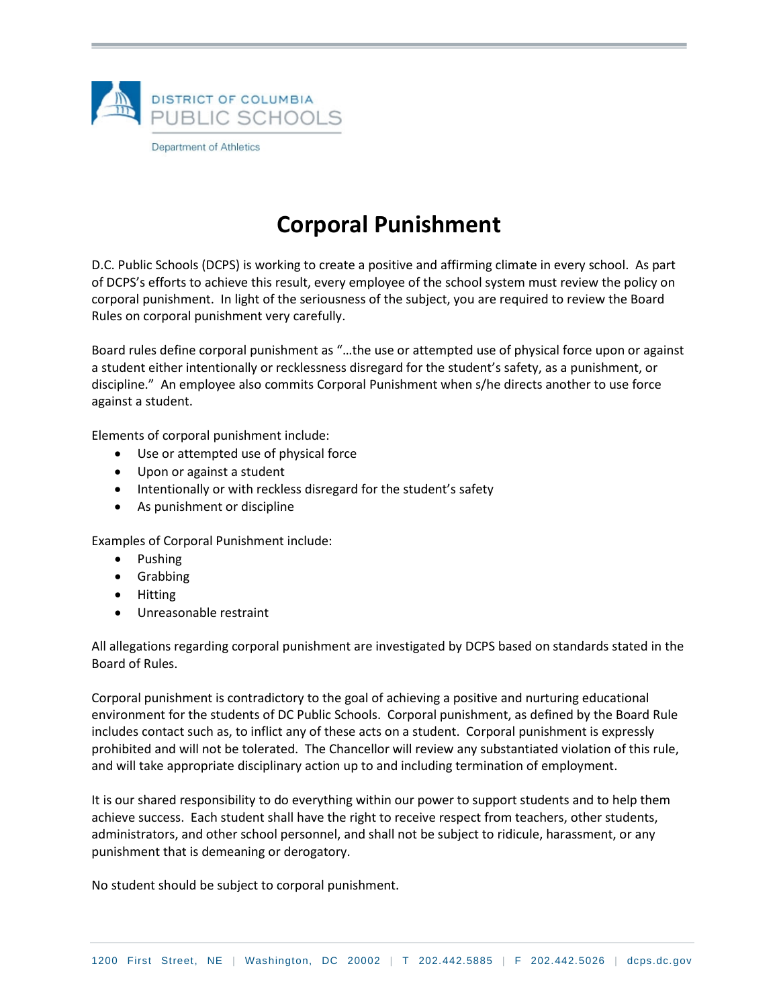

# **Corporal Punishment**

D.C. Public Schools (DCPS) is working to create a positive and affirming climate in every school. As part of DCPS's efforts to achieve this result, every employee of the school system must review the policy on corporal punishment. In light of the seriousness of the subject, you are required to review the Board Rules on corporal punishment very carefully.

Board rules define corporal punishment as "…the use or attempted use of physical force upon or against a student either intentionally or recklessness disregard for the student's safety, as a punishment, or discipline." An employee also commits Corporal Punishment when s/he directs another to use force against a student.

Elements of corporal punishment include:

- Use or attempted use of physical force
- Upon or against a student
- Intentionally or with reckless disregard for the student's safety
- As punishment or discipline

Examples of Corporal Punishment include:

- Pushing
- Grabbing
- Hitting
- Unreasonable restraint

All allegations regarding corporal punishment are investigated by DCPS based on standards stated in the Board of Rules.

Corporal punishment is contradictory to the goal of achieving a positive and nurturing educational environment for the students of DC Public Schools. Corporal punishment, as defined by the Board Rule includes contact such as, to inflict any of these acts on a student. Corporal punishment is expressly prohibited and will not be tolerated. The Chancellor will review any substantiated violation of this rule, and will take appropriate disciplinary action up to and including termination of employment.

It is our shared responsibility to do everything within our power to support students and to help them achieve success. Each student shall have the right to receive respect from teachers, other students, administrators, and other school personnel, and shall not be subject to ridicule, harassment, or any punishment that is demeaning or derogatory.

No student should be subject to corporal punishment.